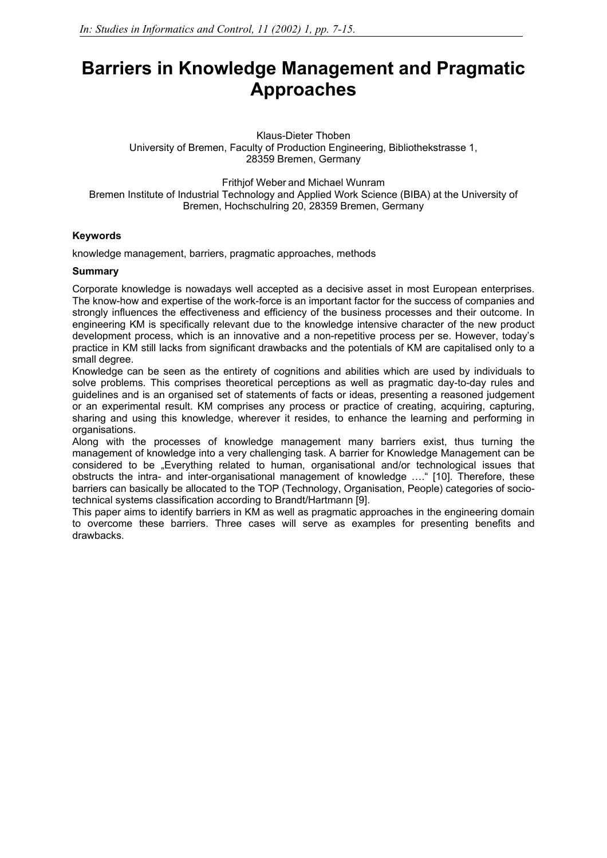# **Barriers in Knowledge Management and Pragmatic Approaches**

Klaus-Dieter Thoben University of Bremen, Faculty of Production Engineering, Bibliothekstrasse 1, 28359 Bremen, Germany

Frithjof Weber and Michael Wunram Bremen Institute of Industrial Technology and Applied Work Science (BIBA) at the University of Bremen, Hochschulring 20, 28359 Bremen, Germany

## **Keywords**

knowledge management, barriers, pragmatic approaches, methods

#### **Summary**

Corporate knowledge is nowadays well accepted as a decisive asset in most European enterprises. The know-how and expertise of the work-force is an important factor for the success of companies and strongly influences the effectiveness and efficiency of the business processes and their outcome. In engineering KM is specifically relevant due to the knowledge intensive character of the new product development process, which is an innovative and a non-repetitive process per se. However, today's practice in KM still lacks from significant drawbacks and the potentials of KM are capitalised only to a small degree.

Knowledge can be seen as the entirety of cognitions and abilities which are used by individuals to solve problems. This comprises theoretical perceptions as well as pragmatic day-to-day rules and guidelines and is an organised set of statements of facts or ideas, presenting a reasoned judgement or an experimental result. KM comprises any process or practice of creating, acquiring, capturing, sharing and using this knowledge, wherever it resides, to enhance the learning and performing in organisations.

Along with the processes of knowledge management many barriers exist, thus turning the management of knowledge into a very challenging task. A barrier for Knowledge Management can be considered to be "Everything related to human, organisational and/or technological issues that obstructs the intra- and inter-organisational management of knowledge …." [10]. Therefore, these barriers can basically be allocated to the TOP (Technology, Organisation, People) categories of sociotechnical systems classification according to Brandt/Hartmann [9].

This paper aims to identify barriers in KM as well as pragmatic approaches in the engineering domain to overcome these barriers. Three cases will serve as examples for presenting benefits and drawbacks.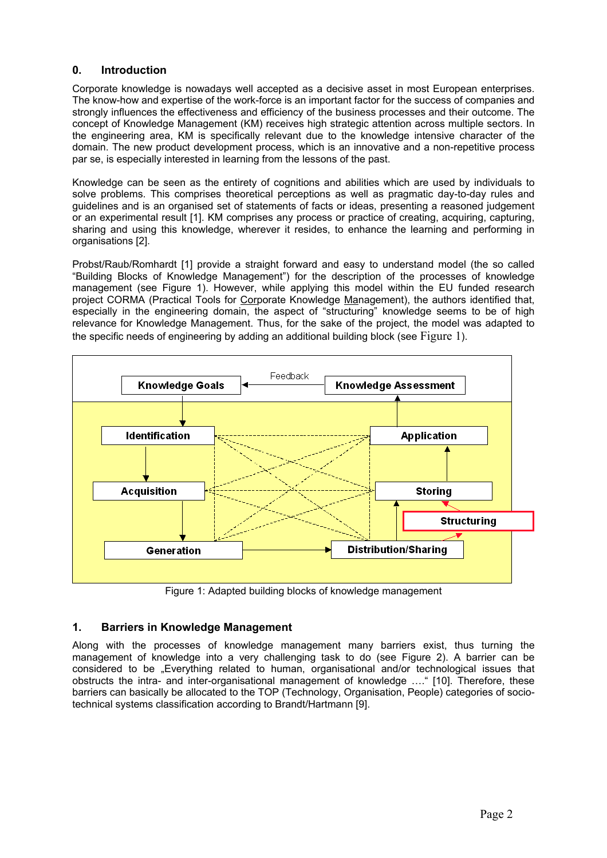# **0. Introduction**

Corporate knowledge is nowadays well accepted as a decisive asset in most European enterprises. The know-how and expertise of the work-force is an important factor for the success of companies and strongly influences the effectiveness and efficiency of the business processes and their outcome. The concept of Knowledge Management (KM) receives high strategic attention across multiple sectors. In the engineering area, KM is specifically relevant due to the knowledge intensive character of the domain. The new product development process, which is an innovative and a non-repetitive process par se, is especially interested in learning from the lessons of the past.

Knowledge can be seen as the entirety of cognitions and abilities which are used by individuals to solve problems. This comprises theoretical perceptions as well as pragmatic day-to-day rules and guidelines and is an organised set of statements of facts or ideas, presenting a reasoned judgement or an experimental result [1]. KM comprises any process or practice of creating, acquiring, capturing, sharing and using this knowledge, wherever it resides, to enhance the learning and performing in organisations [2].

Probst/Raub/Romhardt [1] provide a straight forward and easy to understand model (the so called "Building Blocks of Knowledge Management") for the description of the processes of knowledge management (see Figure 1). However, while applying this model within the EU funded research project CORMA (Practical Tools for Corporate Knowledge Management), the authors identified that, especially in the engineering domain, the aspect of "structuring" knowledge seems to be of high relevance for Knowledge Management. Thus, for the sake of the project, the model was adapted to the specific needs of engineering by adding an additional building block (see Figure 1).



Figure 1: Adapted building blocks of knowledge management

# **1. Barriers in Knowledge Management**

Along with the processes of knowledge management many barriers exist, thus turning the management of knowledge into a very challenging task to do (see Figure 2). A barrier can be considered to be "Everything related to human, organisational and/or technological issues that obstructs the intra- and inter-organisational management of knowledge …." [10]. Therefore, these barriers can basically be allocated to the TOP (Technology, Organisation, People) categories of sociotechnical systems classification according to Brandt/Hartmann [9].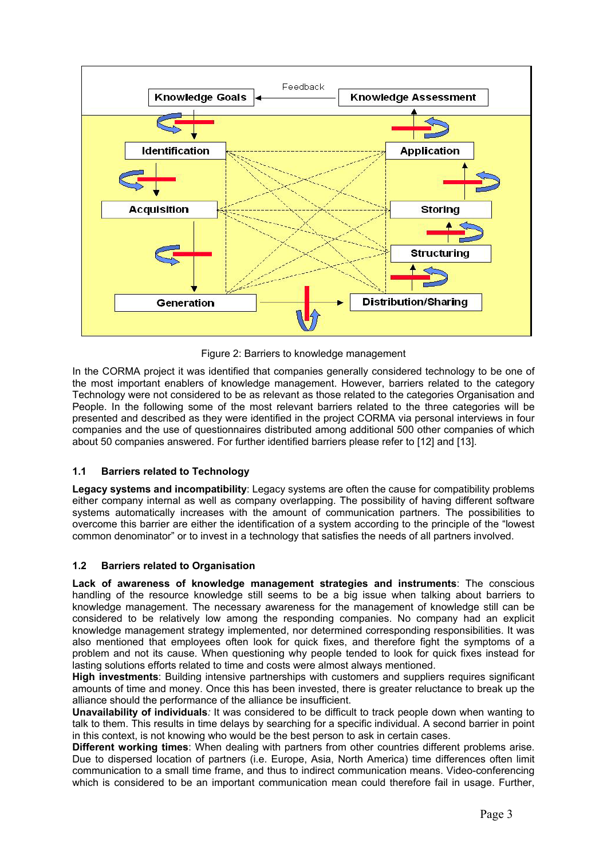

Figure 2: Barriers to knowledge management

In the CORMA project it was identified that companies generally considered technology to be one of the most important enablers of knowledge management. However, barriers related to the category Technology were not considered to be as relevant as those related to the categories Organisation and People. In the following some of the most relevant barriers related to the three categories will be presented and described as they were identified in the project CORMA via personal interviews in four companies and the use of questionnaires distributed among additional 500 other companies of which about 50 companies answered. For further identified barriers please refer to [12] and [13].

# **1.1 Barriers related to Technology**

**Legacy systems and incompatibility**: Legacy systems are often the cause for compatibility problems either company internal as well as company overlapping. The possibility of having different software systems automatically increases with the amount of communication partners. The possibilities to overcome this barrier are either the identification of a system according to the principle of the "lowest common denominator" or to invest in a technology that satisfies the needs of all partners involved.

# **1.2 Barriers related to Organisation**

**Lack of awareness of knowledge management strategies and instruments**: The conscious handling of the resource knowledge still seems to be a big issue when talking about barriers to knowledge management. The necessary awareness for the management of knowledge still can be considered to be relatively low among the responding companies. No company had an explicit knowledge management strategy implemented, nor determined corresponding responsibilities. It was also mentioned that employees often look for quick fixes, and therefore fight the symptoms of a problem and not its cause. When questioning why people tended to look for quick fixes instead for lasting solutions efforts related to time and costs were almost always mentioned.

**High investments**: Building intensive partnerships with customers and suppliers requires significant amounts of time and money. Once this has been invested, there is greater reluctance to break up the alliance should the performance of the alliance be insufficient.

**Unavailability of individuals***:* It was considered to be difficult to track people down when wanting to talk to them. This results in time delays by searching for a specific individual. A second barrier in point in this context, is not knowing who would be the best person to ask in certain cases.

**Different working times**: When dealing with partners from other countries different problems arise. Due to dispersed location of partners (i.e. Europe, Asia, North America) time differences often limit communication to a small time frame, and thus to indirect communication means. Video-conferencing which is considered to be an important communication mean could therefore fail in usage. Further,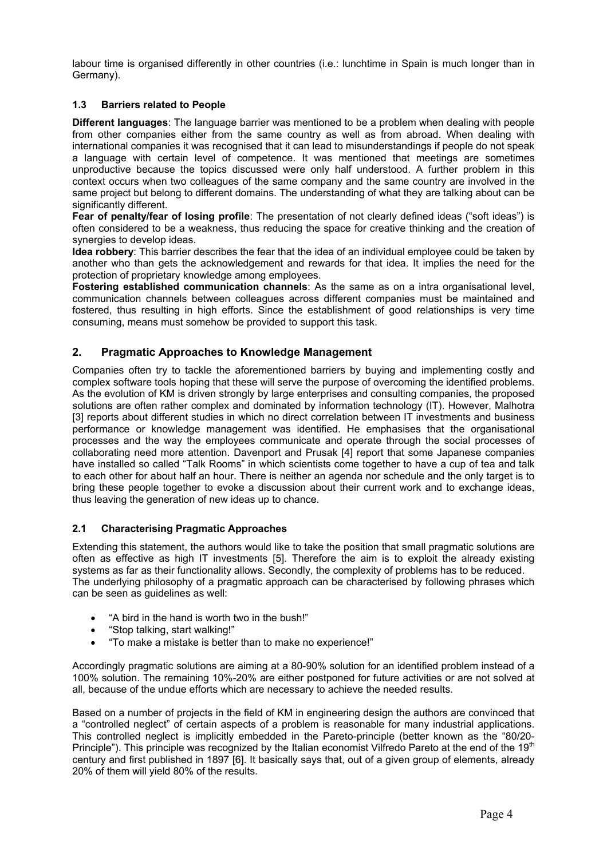labour time is organised differently in other countries (i.e.: lunchtime in Spain is much longer than in Germany).

## **1.3 Barriers related to People**

**Different languages**: The language barrier was mentioned to be a problem when dealing with people from other companies either from the same country as well as from abroad. When dealing with international companies it was recognised that it can lead to misunderstandings if people do not speak a language with certain level of competence. It was mentioned that meetings are sometimes unproductive because the topics discussed were only half understood. A further problem in this context occurs when two colleagues of the same company and the same country are involved in the same project but belong to different domains. The understanding of what they are talking about can be significantly different.

Fear of penalty/fear of losing profile: The presentation of not clearly defined ideas ("soft ideas") is often considered to be a weakness, thus reducing the space for creative thinking and the creation of synergies to develop ideas.

**Idea robbery**: This barrier describes the fear that the idea of an individual employee could be taken by another who than gets the acknowledgement and rewards for that idea. It implies the need for the protection of proprietary knowledge among employees.

**Fostering established communication channels**: As the same as on a intra organisational level, communication channels between colleagues across different companies must be maintained and fostered, thus resulting in high efforts. Since the establishment of good relationships is very time consuming, means must somehow be provided to support this task.

# **2. Pragmatic Approaches to Knowledge Management**

Companies often try to tackle the aforementioned barriers by buying and implementing costly and complex software tools hoping that these will serve the purpose of overcoming the identified problems. As the evolution of KM is driven strongly by large enterprises and consulting companies, the proposed solutions are often rather complex and dominated by information technology (IT). However, Malhotra [3] reports about different studies in which no direct correlation between IT investments and business performance or knowledge management was identified. He emphasises that the organisational processes and the way the employees communicate and operate through the social processes of collaborating need more attention. Davenport and Prusak [4] report that some Japanese companies have installed so called "Talk Rooms" in which scientists come together to have a cup of tea and talk to each other for about half an hour. There is neither an agenda nor schedule and the only target is to bring these people together to evoke a discussion about their current work and to exchange ideas, thus leaving the generation of new ideas up to chance.

#### **2.1 Characterising Pragmatic Approaches**

Extending this statement, the authors would like to take the position that small pragmatic solutions are often as effective as high IT investments [5]. Therefore the aim is to exploit the already existing systems as far as their functionality allows. Secondly, the complexity of problems has to be reduced. The underlying philosophy of a pragmatic approach can be characterised by following phrases which can be seen as guidelines as well:

- "A bird in the hand is worth two in the bush!"
- "Stop talking, start walking!"
- "To make a mistake is better than to make no experience!"

Accordingly pragmatic solutions are aiming at a 80-90% solution for an identified problem instead of a 100% solution. The remaining 10%-20% are either postponed for future activities or are not solved at all, because of the undue efforts which are necessary to achieve the needed results.

Based on a number of projects in the field of KM in engineering design the authors are convinced that a "controlled neglect" of certain aspects of a problem is reasonable for many industrial applications. This controlled neglect is implicitly embedded in the Pareto-principle (better known as the "80/20- Principle"). This principle was recognized by the Italian economist Vilfredo Pareto at the end of the 19<sup>th</sup> century and first published in 1897 [6]. It basically says that, out of a given group of elements, already 20% of them will yield 80% of the results.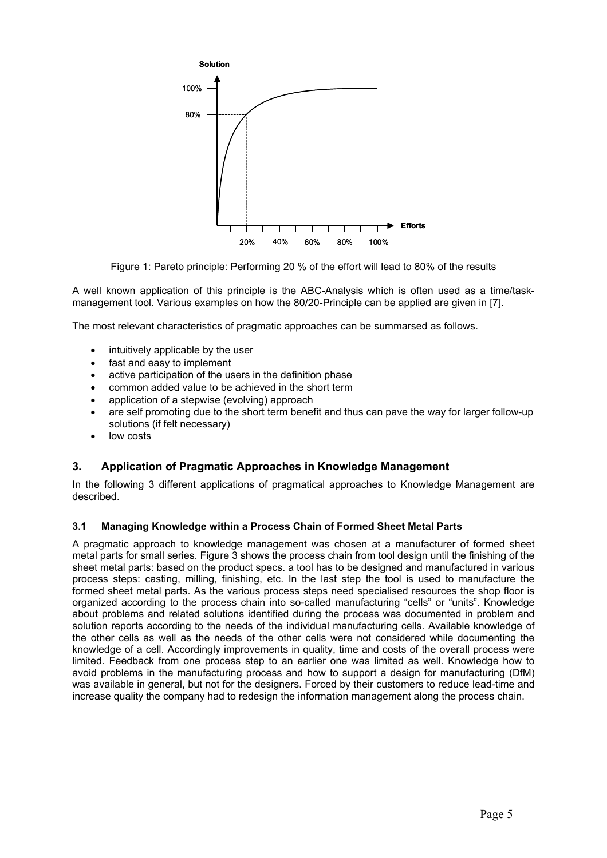

Figure 1: Pareto principle: Performing 20 % of the effort will lead to 80% of the results

A well known application of this principle is the ABC-Analysis which is often used as a time/taskmanagement tool. Various examples on how the 80/20-Principle can be applied are given in [7].

The most relevant characteristics of pragmatic approaches can be summarsed as follows.

- intuitively applicable by the user
- fast and easy to implement
- active participation of the users in the definition phase
- common added value to be achieved in the short term
- application of a stepwise (evolving) approach
- are self promoting due to the short term benefit and thus can pave the way for larger follow-up solutions (if felt necessary)
- low costs

# **3. Application of Pragmatic Approaches in Knowledge Management**

In the following 3 different applications of pragmatical approaches to Knowledge Management are described.

#### **3.1 Managing Knowledge within a Process Chain of Formed Sheet Metal Parts**

A pragmatic approach to knowledge management was chosen at a manufacturer of formed sheet metal parts for small series. Figure 3 shows the process chain from tool design until the finishing of the sheet metal parts: based on the product specs. a tool has to be designed and manufactured in various process steps: casting, milling, finishing, etc. In the last step the tool is used to manufacture the formed sheet metal parts. As the various process steps need specialised resources the shop floor is organized according to the process chain into so-called manufacturing "cells" or "units". Knowledge about problems and related solutions identified during the process was documented in problem and solution reports according to the needs of the individual manufacturing cells. Available knowledge of the other cells as well as the needs of the other cells were not considered while documenting the knowledge of a cell. Accordingly improvements in quality, time and costs of the overall process were limited. Feedback from one process step to an earlier one was limited as well. Knowledge how to avoid problems in the manufacturing process and how to support a design for manufacturing (DfM) was available in general, but not for the designers. Forced by their customers to reduce lead-time and increase quality the company had to redesign the information management along the process chain.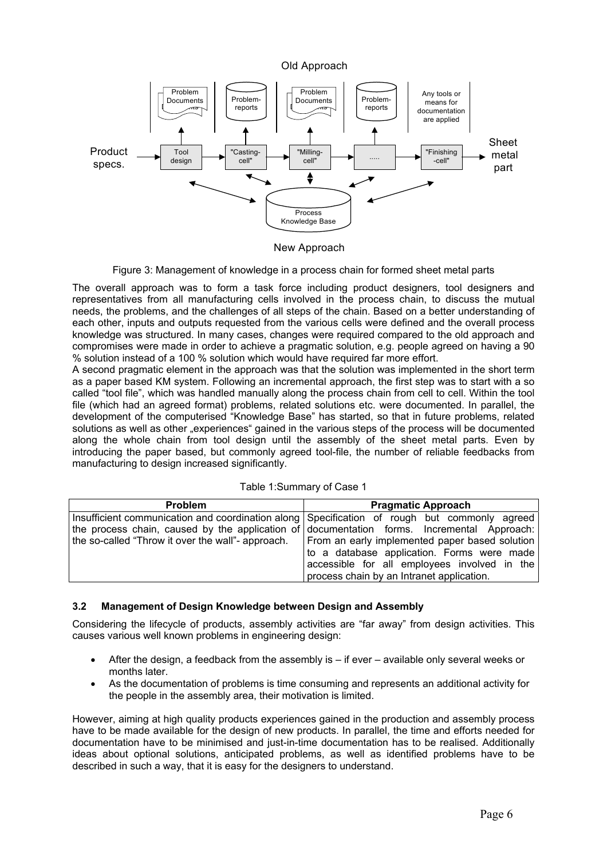

New Approach

Figure 3: Management of knowledge in a process chain for formed sheet metal parts

The overall approach was to form a task force including product designers, tool designers and representatives from all manufacturing cells involved in the process chain, to discuss the mutual needs, the problems, and the challenges of all steps of the chain. Based on a better understanding of each other, inputs and outputs requested from the various cells were defined and the overall process knowledge was structured. In many cases, changes were required compared to the old approach and compromises were made in order to achieve a pragmatic solution, e.g. people agreed on having a 90 % solution instead of a 100 % solution which would have required far more effort.

A second pragmatic element in the approach was that the solution was implemented in the short term as a paper based KM system. Following an incremental approach, the first step was to start with a so called "tool file", which was handled manually along the process chain from cell to cell. Within the tool file (which had an agreed format) problems, related solutions etc. were documented. In parallel, the development of the computerised "Knowledge Base" has started, so that in future problems, related solutions as well as other "experiences" gained in the various steps of the process will be documented along the whole chain from tool design until the assembly of the sheet metal parts. Even by introducing the paper based, but commonly agreed tool-file, the number of reliable feedbacks from manufacturing to design increased significantly.

| <b>Problem</b>                                                                                   | <b>Pragmatic Approach</b>                    |  |  |  |  |  |  |  |
|--------------------------------------------------------------------------------------------------|----------------------------------------------|--|--|--|--|--|--|--|
| Insufficient communication and coordination along Specification of rough but commonly agreed     |                                              |  |  |  |  |  |  |  |
| the process chain, caused by the application of documentation forms. Incremental Approach:       |                                              |  |  |  |  |  |  |  |
| the so-called "Throw it over the wall"- approach. From an early implemented paper based solution |                                              |  |  |  |  |  |  |  |
|                                                                                                  | to a database application. Forms were made   |  |  |  |  |  |  |  |
|                                                                                                  | accessible for all employees involved in the |  |  |  |  |  |  |  |
|                                                                                                  | process chain by an Intranet application.    |  |  |  |  |  |  |  |

# **3.2 Management of Design Knowledge between Design and Assembly**

Considering the lifecycle of products, assembly activities are "far away" from design activities. This causes various well known problems in engineering design:

- After the design, a feedback from the assembly is if ever available only several weeks or months later.
- As the documentation of problems is time consuming and represents an additional activity for the people in the assembly area, their motivation is limited.

However, aiming at high quality products experiences gained in the production and assembly process have to be made available for the design of new products. In parallel, the time and efforts needed for documentation have to be minimised and just-in-time documentation has to be realised. Additionally ideas about optional solutions, anticipated problems, as well as identified problems have to be described in such a way, that it is easy for the designers to understand.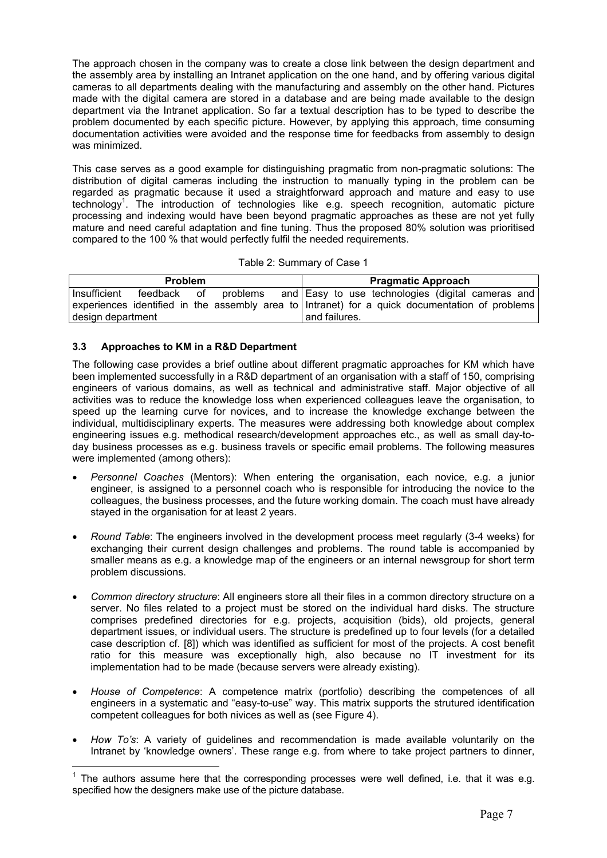The approach chosen in the company was to create a close link between the design department and the assembly area by installing an Intranet application on the one hand, and by offering various digital cameras to all departments dealing with the manufacturing and assembly on the other hand. Pictures made with the digital camera are stored in a database and are being made available to the design department via the Intranet application. So far a textual description has to be typed to describe the problem documented by each specific picture. However, by applying this approach, time consuming documentation activities were avoided and the response time for feedbacks from assembly to design was minimized.

This case serves as a good example for distinguishing pragmatic from non-pragmatic solutions: The distribution of digital cameras including the instruction to manually typing in the problem can be regarded as pragmatic because it used a straightforward approach and mature and easy to use technology<sup>1</sup>. The introduction of technologies like e.g. speech recognition, automatic picture processing and indexing would have been beyond pragmatic approaches as these are not yet fully mature and need careful adaptation and fine tuning. Thus the proposed 80% solution was prioritised compared to the 100 % that would perfectly fulfil the needed requirements.

| Table 2: Summary of Case 1 |  |
|----------------------------|--|
|----------------------------|--|

|                   | <b>Problem</b>                                                                                 |  |               |  | <b>Pragmatic Approach</b> |  |
|-------------------|------------------------------------------------------------------------------------------------|--|---------------|--|---------------------------|--|
| Insufficient      | feedback of problems and Easy to use technologies (digital cameras and                         |  |               |  |                           |  |
|                   | experiences identified in the assembly area to Intranet) for a quick documentation of problems |  |               |  |                           |  |
| design department |                                                                                                |  | and failures. |  |                           |  |

# **3.3 Approaches to KM in a R&D Department**

 $\overline{a}$ 

The following case provides a brief outline about different pragmatic approaches for KM which have been implemented successfully in a R&D department of an organisation with a staff of 150, comprising engineers of various domains, as well as technical and administrative staff. Major objective of all activities was to reduce the knowledge loss when experienced colleagues leave the organisation, to speed up the learning curve for novices, and to increase the knowledge exchange between the individual, multidisciplinary experts. The measures were addressing both knowledge about complex engineering issues e.g. methodical research/development approaches etc., as well as small day-today business processes as e.g. business travels or specific email problems. The following measures were implemented (among others):

- *Personnel Coaches* (Mentors): When entering the organisation, each novice, e.g. a junior engineer, is assigned to a personnel coach who is responsible for introducing the novice to the colleagues, the business processes, and the future working domain. The coach must have already stayed in the organisation for at least 2 years.
- *Round Table*: The engineers involved in the development process meet regularly (3-4 weeks) for exchanging their current design challenges and problems. The round table is accompanied by smaller means as e.g. a knowledge map of the engineers or an internal newsgroup for short term problem discussions.
- *Common directory structure*: All engineers store all their files in a common directory structure on a server. No files related to a project must be stored on the individual hard disks. The structure comprises predefined directories for e.g. projects, acquisition (bids), old projects, general department issues, or individual users. The structure is predefined up to four levels (for a detailed case description cf. [8]) which was identified as sufficient for most of the projects. A cost benefit ratio for this measure was exceptionally high, also because no IT investment for its implementation had to be made (because servers were already existing).
- *House of Competence*: A competence matrix (portfolio) describing the competences of all engineers in a systematic and "easy-to-use" way. This matrix supports the strutured identification competent colleagues for both nivices as well as (see Figure 4).
- *How To's*: A variety of guidelines and recommendation is made available voluntarily on the Intranet by 'knowledge owners'. These range e.g. from where to take project partners to dinner,

 $1$  The authors assume here that the corresponding processes were well defined, i.e. that it was e.g. specified how the designers make use of the picture database.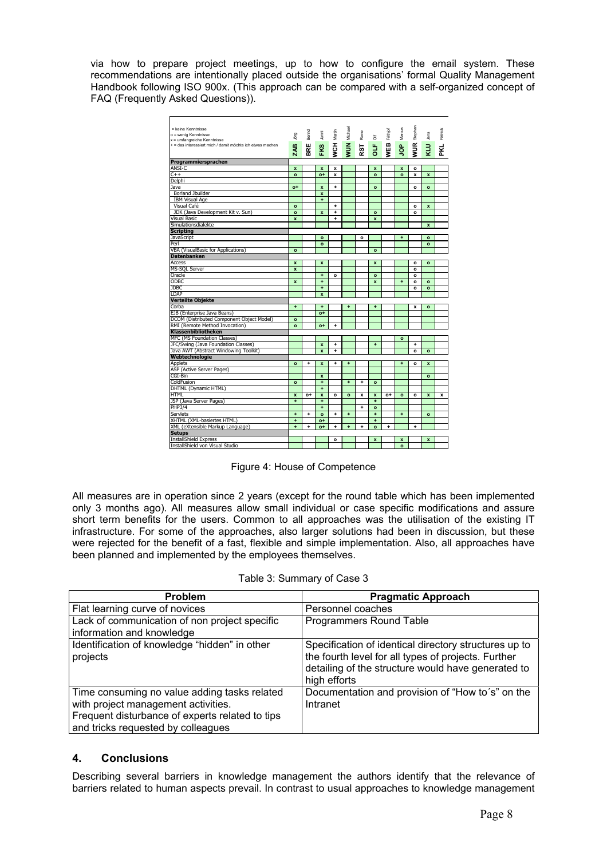via how to prepare project meetings, up to how to configure the email system. These recommendations are intentionally placed outside the organisations' formal Quality Management Handbook following ISO 900x. (This approach can be compared with a self-organized concept of FAQ (Frequently Asked Questions)).

|                                                                                                                                                                                                                                                                                                                                                                                                                                                                                                                                                                                                                                                            | = keine Kenntnisse<br>o = wenig Kenntnisse<br>x = umfangreiche Kenntnisse<br>+ = das interessiert mich / damit möchte ich etwas machen | <b>Digr</b><br>m<br>ส        | Bernd<br>щ<br>홂                                              | Janni<br>FKS                           | <b>WCH Martin</b>                                                                                                                                                                  | Michael<br><b>NUM</b> | Rene<br>RST        | $\overline{5}$<br>ð                | Frithjof<br>WEB | Marcus<br>å               | Stephan<br>WUR               | Jens<br>KLU  | Patrick<br>PKL. |  |  |
|------------------------------------------------------------------------------------------------------------------------------------------------------------------------------------------------------------------------------------------------------------------------------------------------------------------------------------------------------------------------------------------------------------------------------------------------------------------------------------------------------------------------------------------------------------------------------------------------------------------------------------------------------------|----------------------------------------------------------------------------------------------------------------------------------------|------------------------------|--------------------------------------------------------------|----------------------------------------|------------------------------------------------------------------------------------------------------------------------------------------------------------------------------------|-----------------------|--------------------|------------------------------------|-----------------|---------------------------|------------------------------|--------------|-----------------|--|--|
|                                                                                                                                                                                                                                                                                                                                                                                                                                                                                                                                                                                                                                                            | Programmiersprachen<br>ANSI-C                                                                                                          | $\pmb{\mathsf{x}}$           |                                                              | $\pmb{\mathsf{x}}$                     | x                                                                                                                                                                                  |                       |                    | x                                  |                 | $\pmb{\mathsf{x}}$        | o                            |              |                 |  |  |
|                                                                                                                                                                                                                                                                                                                                                                                                                                                                                                                                                                                                                                                            | $+ +$<br>Delphi                                                                                                                        | $\mathbf{o}$                 |                                                              | $o+$                                   | $\mathbf{x}$                                                                                                                                                                       |                       |                    | $\mathbf{o}$                       |                 | $\mathbf{o}$              | $\boldsymbol{\mathsf{x}}$    | $\mathbf{x}$ |                 |  |  |
|                                                                                                                                                                                                                                                                                                                                                                                                                                                                                                                                                                                                                                                            | Java<br><b>Borland Jbuilder</b>                                                                                                        | o+                           |                                                              | $\boldsymbol{x}$<br>$\pmb{\mathsf{x}}$ | ٠                                                                                                                                                                                  |                       |                    | $\mathbf{o}$                       |                 |                           | $\mathbf{o}$                 | $\circ$      |                 |  |  |
|                                                                                                                                                                                                                                                                                                                                                                                                                                                                                                                                                                                                                                                            | <b>IBM Visual Age</b>                                                                                                                  |                              |                                                              | $\ddot{}$                              |                                                                                                                                                                                    |                       |                    |                                    |                 |                           |                              |              |                 |  |  |
|                                                                                                                                                                                                                                                                                                                                                                                                                                                                                                                                                                                                                                                            | Visual Café<br>JDK (Java Development Kit v. Sun)                                                                                       | $\mathbf{o}$<br>$\circ$      |                                                              | $\mathbf{x}$                           | ٠.<br>$+$                                                                                                                                                                          |                       |                    | $\circ$                            |                 |                           | $\mathbf{o}$<br>$\circ$      | $\mathbf{x}$ |                 |  |  |
|                                                                                                                                                                                                                                                                                                                                                                                                                                                                                                                                                                                                                                                            | Visual Basic<br>Simulationsdialekte                                                                                                    | $\mathbf{x}$                 |                                                              |                                        | $\ddot{}$                                                                                                                                                                          |                       |                    | x                                  |                 |                           |                              | $\mathbf{x}$ |                 |  |  |
|                                                                                                                                                                                                                                                                                                                                                                                                                                                                                                                                                                                                                                                            | Scripting<br><b>JavaScript</b>                                                                                                         |                              |                                                              | $\circ$                                |                                                                                                                                                                                    |                       | $\circ$            |                                    |                 | $\ddot{}$                 |                              | $\circ$      |                 |  |  |
|                                                                                                                                                                                                                                                                                                                                                                                                                                                                                                                                                                                                                                                            | Perl                                                                                                                                   |                              |                                                              | $\mathbf{o}$                           |                                                                                                                                                                                    |                       |                    | $\Omega$                           |                 |                           |                              | $\mathbf{o}$ |                 |  |  |
|                                                                                                                                                                                                                                                                                                                                                                                                                                                                                                                                                                                                                                                            | VBA (VisualBasic for Applications)<br><b>Datenbanken</b>                                                                               | $\mathbf{o}$                 |                                                              |                                        |                                                                                                                                                                                    |                       |                    |                                    |                 |                           |                              |              |                 |  |  |
|                                                                                                                                                                                                                                                                                                                                                                                                                                                                                                                                                                                                                                                            | Access<br>MS-SQL Server                                                                                                                | $\mathbf{x}$<br>$\mathbf{x}$ |                                                              | $\mathbf{x}$                           |                                                                                                                                                                                    |                       |                    | x                                  |                 |                           | $\mathbf{o}$<br>$\mathbf{o}$ | $\circ$      |                 |  |  |
|                                                                                                                                                                                                                                                                                                                                                                                                                                                                                                                                                                                                                                                            | Oracle<br>ODBC                                                                                                                         | $\pmb{\mathsf{x}}$           |                                                              | $\ddot{}$<br>$\ddot{}$                 | $\mathbf{o}$                                                                                                                                                                       |                       |                    | $\mathbf{o}$<br>$\pmb{\mathsf{x}}$ |                 |                           | $\mathbf{o}$<br>$\mathbf{o}$ | $\mathbf{o}$ |                 |  |  |
|                                                                                                                                                                                                                                                                                                                                                                                                                                                                                                                                                                                                                                                            | JDBC<br>LDAP                                                                                                                           |                              |                                                              | $\ddot{}$<br>$\pmb{\mathsf{x}}$        |                                                                                                                                                                                    |                       |                    |                                    |                 |                           | $\circ$                      | $\circ$      |                 |  |  |
|                                                                                                                                                                                                                                                                                                                                                                                                                                                                                                                                                                                                                                                            | Verteilte Objekte                                                                                                                      |                              |                                                              |                                        |                                                                                                                                                                                    |                       |                    |                                    |                 |                           |                              |              |                 |  |  |
|                                                                                                                                                                                                                                                                                                                                                                                                                                                                                                                                                                                                                                                            | Corba<br>EJB (Enterprise Java Beans)                                                                                                   | ٠                            |                                                              | ÷<br>$o+$                              |                                                                                                                                                                                    | ÷                     |                    |                                    |                 |                           | x                            | $\mathbf{o}$ |                 |  |  |
|                                                                                                                                                                                                                                                                                                                                                                                                                                                                                                                                                                                                                                                            | DCOM (Distributed Component Object Model)<br>RMI (Remote Method Invocation)                                                            | $\bullet$<br>$\circ$         |                                                              | $o+$                                   | $\ddot{}$                                                                                                                                                                          |                       |                    |                                    |                 |                           |                              |              |                 |  |  |
|                                                                                                                                                                                                                                                                                                                                                                                                                                                                                                                                                                                                                                                            | Klassenbibliotheken                                                                                                                    |                              |                                                              |                                        |                                                                                                                                                                                    |                       |                    |                                    |                 |                           |                              |              |                 |  |  |
|                                                                                                                                                                                                                                                                                                                                                                                                                                                                                                                                                                                                                                                            | MFC (MS Foundation Classes)<br>JFC/Swing (Java Foundation Classes)                                                                     |                              |                                                              | $\pmb{\mathsf{x}}$                     | $\ddot{}$                                                                                                                                                                          |                       |                    | $\ddot{}$                          |                 | $\mathbf{o}$              | $\ddot{}$                    |              |                 |  |  |
|                                                                                                                                                                                                                                                                                                                                                                                                                                                                                                                                                                                                                                                            | Java AWT (Abstract Windowing Toolkit)<br>Webtechnologie                                                                                |                              |                                                              | $\mathbf{x}$                           | $\ddot{}$                                                                                                                                                                          |                       |                    |                                    |                 |                           | $\circ$                      | $\circ$      |                 |  |  |
|                                                                                                                                                                                                                                                                                                                                                                                                                                                                                                                                                                                                                                                            | <b>Applets</b>                                                                                                                         | $\circ$                      | $\ddot{}$                                                    | $\mathbf{x}$                           | $+$                                                                                                                                                                                | $\pm$                 |                    |                                    |                 | $+$                       | $\mathbf{o}$                 | $\mathbf{x}$ |                 |  |  |
|                                                                                                                                                                                                                                                                                                                                                                                                                                                                                                                                                                                                                                                            | ASP (Active Server Pages)<br>CGI-Bin                                                                                                   |                              |                                                              | $\pmb{\mathsf{x}}$                     |                                                                                                                                                                                    |                       |                    |                                    |                 |                           |                              | $\mathbf{o}$ |                 |  |  |
|                                                                                                                                                                                                                                                                                                                                                                                                                                                                                                                                                                                                                                                            | ColdFusion<br>DHTML (Dynamic HTML)                                                                                                     | $\mathbf{o}$                 |                                                              | $\pmb{\mathrm{+}}$<br>$\ddot{}$        |                                                                                                                                                                                    | $\ddot{}$             | $^\mathrm{+}$      | $\mathbf{o}$                       |                 |                           |                              |              |                 |  |  |
|                                                                                                                                                                                                                                                                                                                                                                                                                                                                                                                                                                                                                                                            | HTML<br>JSP (Java Server Pages)                                                                                                        | $\mathbf{x}$<br>$\ddot{}$    | o+                                                           | $\pmb{\mathsf{x}}$<br>$\ddot{}$        | $\circ$                                                                                                                                                                            | $\mathbf{o}$          | $\pmb{\mathsf{x}}$ | $\pmb{\mathsf{x}}$<br>$\ddot{}$    | o+              | $\bullet$                 | $\mathbf{o}$                 | $\mathbf{x}$ | x               |  |  |
|                                                                                                                                                                                                                                                                                                                                                                                                                                                                                                                                                                                                                                                            | PHP3/4                                                                                                                                 |                              |                                                              | $\color{red}+$                         |                                                                                                                                                                                    |                       | +                  | $\mathbf{o}$                       |                 |                           |                              |              |                 |  |  |
|                                                                                                                                                                                                                                                                                                                                                                                                                                                                                                                                                                                                                                                            | Servlets<br>XHTML (XML-basiertes HTML)                                                                                                 | $+$<br>$\ddot{}$             | $+$                                                          | $\circ$<br>$o+$                        | $+$                                                                                                                                                                                | $+$                   |                    | $+$<br>$\ddot{}$                   |                 | $+$                       |                              | $\mathbf{o}$ |                 |  |  |
|                                                                                                                                                                                                                                                                                                                                                                                                                                                                                                                                                                                                                                                            | XML (eXtensible Markup Language)<br><b>Setups</b>                                                                                      | $+$                          | $+$                                                          | $o+$                                   | $\ddot{}$                                                                                                                                                                          | $\ddot{}$             | $\ddot{}$          | $\circ$                            | ٠               |                           |                              |              |                 |  |  |
|                                                                                                                                                                                                                                                                                                                                                                                                                                                                                                                                                                                                                                                            | InstallShield Express<br>InstallShield von Visual Studio                                                                               |                              |                                                              |                                        | $\circ$                                                                                                                                                                            |                       |                    | x                                  |                 | $\mathbf{x}$<br>$\bullet$ |                              | $\mathbf{x}$ |                 |  |  |
| Figure 4: House of Competence<br>All measures are in operation since 2 years (except for the round table which has been implemented<br>only 3 months ago). All measures allow small individual or case specific modifications and assure<br>short term benefits for the users. Common to all approaches was the utilisation of the existing IT<br>infrastructure. For some of the approaches, also larger solutions had been in discussion, but these<br>were rejected for the benefit of a fast, flexible and simple implementation. Also, all approaches have<br>been planned and implemented by the employees themselves.<br>Table 3: Summary of Case 3 |                                                                                                                                        |                              |                                                              |                                        |                                                                                                                                                                                    |                       |                    |                                    |                 |                           |                              |              |                 |  |  |
| Problem<br><b>Pragmatic Approach</b>                                                                                                                                                                                                                                                                                                                                                                                                                                                                                                                                                                                                                       |                                                                                                                                        |                              |                                                              |                                        |                                                                                                                                                                                    |                       |                    |                                    |                 |                           |                              |              |                 |  |  |
| Flat learning curve of novices                                                                                                                                                                                                                                                                                                                                                                                                                                                                                                                                                                                                                             |                                                                                                                                        |                              |                                                              | Personnel coaches                      |                                                                                                                                                                                    |                       |                    |                                    |                 |                           |                              |              |                 |  |  |
|                                                                                                                                                                                                                                                                                                                                                                                                                                                                                                                                                                                                                                                            | Lack of communication of non project specific                                                                                          |                              |                                                              | <b>Programmers Round Table</b>         |                                                                                                                                                                                    |                       |                    |                                    |                 |                           |                              |              |                 |  |  |
|                                                                                                                                                                                                                                                                                                                                                                                                                                                                                                                                                                                                                                                            |                                                                                                                                        |                              |                                                              |                                        |                                                                                                                                                                                    |                       |                    |                                    |                 |                           |                              |              |                 |  |  |
| information and knowledge<br>Identification of knowledge "hidden" in other<br>projects                                                                                                                                                                                                                                                                                                                                                                                                                                                                                                                                                                     |                                                                                                                                        |                              |                                                              |                                        | Specification of identical directory structures up to<br>the fourth level for all types of projects. Further<br>detailing of the structure would have generated to<br>high efforts |                       |                    |                                    |                 |                           |                              |              |                 |  |  |
| Time consuming no value adding tasks related<br>with project management activities.<br>Frequent disturbance of experts related to tips<br>and tricks requested by colleagues                                                                                                                                                                                                                                                                                                                                                                                                                                                                               |                                                                                                                                        |                              | Documentation and provision of "How to's" on the<br>Intranet |                                        |                                                                                                                                                                                    |                       |                    |                                    |                 |                           |                              |              |                 |  |  |
| <b>Conclusions</b><br>4.<br>Describing several barriers in knowledge management the authors identify that the relevance of                                                                                                                                                                                                                                                                                                                                                                                                                                                                                                                                 |                                                                                                                                        |                              |                                                              |                                        |                                                                                                                                                                                    |                       |                    |                                    |                 |                           |                              |              |                 |  |  |
| barriers related to human aspects prevail. In contrast to usual approaches to knowledge management                                                                                                                                                                                                                                                                                                                                                                                                                                                                                                                                                         |                                                                                                                                        |                              |                                                              |                                        |                                                                                                                                                                                    |                       |                    |                                    |                 |                           |                              |              |                 |  |  |

Figure 4: House of Competence

| Problem                                                                                                                                                                      | <b>Pragmatic Approach</b>                                                                                                                                                          |
|------------------------------------------------------------------------------------------------------------------------------------------------------------------------------|------------------------------------------------------------------------------------------------------------------------------------------------------------------------------------|
| Flat learning curve of novices                                                                                                                                               | Personnel coaches                                                                                                                                                                  |
| Lack of communication of non project specific<br>information and knowledge                                                                                                   | Programmers Round Table                                                                                                                                                            |
| Identification of knowledge "hidden" in other<br>projects                                                                                                                    | Specification of identical directory structures up to<br>the fourth level for all types of projects. Further<br>detailing of the structure would have generated to<br>high efforts |
| Time consuming no value adding tasks related<br>with project management activities.<br>Frequent disturbance of experts related to tips<br>and tricks requested by colleagues | Documentation and provision of "How to's" on the<br>Intranet                                                                                                                       |

# **4. Conclusions**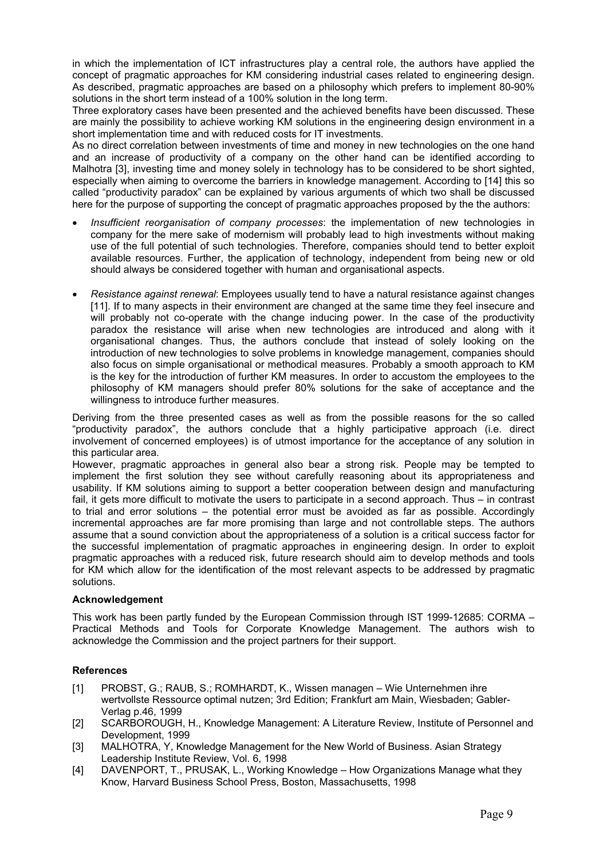in which the implementation of ICT infrastructures play a central role, the authors have applied the concept of pragmatic approaches for KM considering industrial cases related to engineering design. As described, pragmatic approaches are based on a philosophy which prefers to implement 80-90% solutions in the short term instead of a 100% solution in the long term.

Three exploratory cases have been presented and the achieved benefits have been discussed. These are mainly the possibility to achieve working KM solutions in the engineering design environment in a short implementation time and with reduced costs for IT investments.

As no direct correlation between investments of time and money in new technologies on the one hand and an increase of productivity of a company on the other hand can be identified according to Malhotra [3], investing time and money solely in technology has to be considered to be short sighted, especially when aiming to overcome the barriers in knowledge management. According to [14] this so called "productivity paradox" can be explained by various arguments of which two shall be discussed here for the purpose of supporting the concept of pragmatic approaches proposed by the the authors:

- *Insufficient reorganisation of company processes*: the implementation of new technologies in company for the mere sake of modernism will probably lead to high investments without making use of the full potential of such technologies. Therefore, companies should tend to better exploit available resources. Further, the application of technology, independent from being new or old should always be considered together with human and organisational aspects.
- *Resistance against renewal*: Employees usually tend to have a natural resistance against changes [11]. If to many aspects in their environment are changed at the same time they feel insecure and will probably not co-operate with the change inducing power. In the case of the productivity paradox the resistance will arise when new technologies are introduced and along with it organisational changes. Thus, the authors conclude that instead of solely looking on the introduction of new technologies to solve problems in knowledge management, companies should also focus on simple organisational or methodical measures. Probably a smooth approach to KM is the key for the introduction of further KM measures. In order to accustom the employees to the philosophy of KM managers should prefer 80% solutions for the sake of acceptance and the willingness to introduce further measures.

Deriving from the three presented cases as well as from the possible reasons for the so called "productivity paradox", the authors conclude that a highly participative approach (i.e. direct involvement of concerned employees) is of utmost importance for the acceptance of any solution in this particular area.

However, pragmatic approaches in general also bear a strong risk. People may be tempted to implement the first solution they see without carefully reasoning about its appropriateness and usability. If KM solutions aiming to support a better cooperation between design and manufacturing fail, it gets more difficult to motivate the users to participate in a second approach. Thus – in contrast to trial and error solutions – the potential error must be avoided as far as possible. Accordingly incremental approaches are far more promising than large and not controllable steps. The authors assume that a sound conviction about the appropriateness of a solution is a critical success factor for the successful implementation of pragmatic approaches in engineering design. In order to exploit pragmatic approaches with a reduced risk, future research should aim to develop methods and tools for KM which allow for the identification of the most relevant aspects to be addressed by pragmatic solutions.

#### **Acknowledgement**

This work has been partly funded by the European Commission through IST 1999-12685: CORMA – Practical Methods and Tools for Corporate Knowledge Management. The authors wish to acknowledge the Commission and the project partners for their support.

#### **References**

- [1] PROBST, G.; RAUB, S.; ROMHARDT, K., Wissen managen Wie Unternehmen ihre wertvollste Ressource optimal nutzen; 3rd Edition; Frankfurt am Main, Wiesbaden; Gabler-Verlag p.46, 1999
- [2] SCARBOROUGH, H., Knowledge Management: A Literature Review, Institute of Personnel and Development, 1999
- [3] MALHOTRA, Y, Knowledge Management for the New World of Business. Asian Strategy Leadership Institute Review, Vol. 6, 1998
- [4] DAVENPORT, T., PRUSAK, L., Working Knowledge How Organizations Manage what they Know, Harvard Business School Press, Boston, Massachusetts, 1998